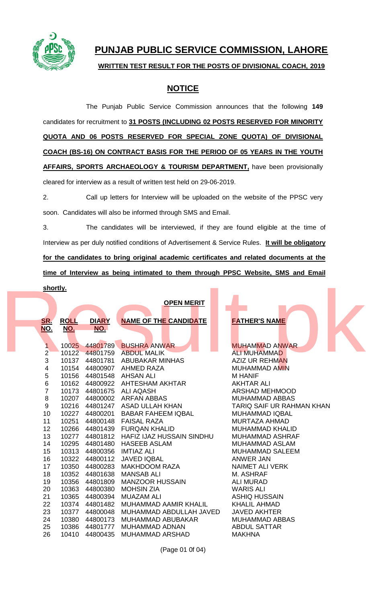

## **PUNJAB PUBLIC SERVICE COMMISSION, LAHORE**

## **WRITTEN TEST RESULT FOR THE POSTS OF DIVISIONAL COACH, 2019**

## **NOTICE**

The Punjab Public Service Commission announces that the following **149** candidates for recruitment to **31 POSTS (INCLUDING 02 POSTS RESERVED FOR MINORITY QUOTA AND 06 POSTS RESERVED FOR SPECIAL ZONE QUOTA) OF DIVISIONAL COACH (BS-16) ON CONTRACT BASIS FOR THE PERIOD OF 05 YEARS IN THE YOUTH AFFAIRS, SPORTS ARCHAEOLOGY & TOURISM DEPARTMENT,** have been provisionally cleared for interview as a result of written test held on 29-06-2019.

2. Call up letters for Interview will be uploaded on the website of the PPSC very soon. Candidates will also be informed through SMS and Email.

3. The candidates will be interviewed, if they are found eligible at the time of Interview as per duly notified conditions of Advertisement & Service Rules. **It will be obligatory for the candidates to bring original academic certificates and related documents at the time of Interview as being intimated to them through PPSC Website, SMS and Email shortly.**

## **OPEN MERIT**

| shortly.        |             |                |                                |                           |
|-----------------|-------------|----------------|--------------------------------|---------------------------|
|                 |             |                | <b>OPEN MERIT</b>              |                           |
|                 |             |                |                                |                           |
| <u>SR.</u>      | <b>ROLL</b> | <b>DIARY</b>   | <b>NAME OF THE CANDIDATE</b>   | <b>FATHER'S NAME</b>      |
| <u>NO.</u>      | NO.         | NO.            |                                |                           |
|                 |             |                |                                |                           |
|                 | 10025       | 44801789       | <b>BUSHRA ANWAR</b>            | <b>MUHAMMAD ANWAR</b>     |
| $\overline{2}$  |             |                | 10122 44801759 ABDUL MALIK     | <b>ALI MUHAMMAD</b>       |
| 3               |             | 10137 44801781 | <b>ABUBAKAR MINHAS</b>         | <b>AZIZ UR REHMAN</b>     |
| 4               |             |                | 10154 44800907 AHMED RAZA      | <b>MUHAMMAD AMIN</b>      |
| 5               | 10156       | 44801548       | <b>AHSAN ALI</b>               | <b>M HANIF</b>            |
| 6               |             | 10162 44800922 | AHTESHAM AKHTAR                | <b>AKHTAR ALI</b>         |
| 7               |             | 10173 44801675 | <b>ALI AQASH</b>               | <b>ARSHAD MEHMOOD</b>     |
| 8               |             |                | 10207 44800002 ARFAN ABBAS     | <b>MUHAMMAD ABBAS</b>     |
| 9               |             |                | 10216 44801247 ASAD ULLAH KHAN | TARIQ SAIF UR RAHMAN KHAN |
| 10              | 10227       | 44800201       | <b>BABAR FAHEEM IQBAL</b>      | <b>MUHAMMAD IQBAL</b>     |
| 11              | 10251       | 44800148       | <b>FAISAL RAZA</b>             | <b>MURTAZA AHMAD</b>      |
| 12 <sup>2</sup> | 10266       | 44801439       | <b>FURQAN KHALID</b>           | <b>MUHAMMAD KHALID</b>    |
| 13              | 10277       | 44801812       | HAFIZ IJAZ HUSSAIN SINDHU      | <b>MUHAMMAD ASHRAF</b>    |
| 14              |             | 10295 44801480 | <b>HASEEB ASLAM</b>            | <b>MUHAMMAD ASLAM</b>     |
| 15              |             | 10313 44800356 | <b>IMTIAZ ALI</b>              | <b>MUHAMMAD SALEEM</b>    |
| 16              |             | 10322 44800112 | <b>JAVED IQBAL</b>             | <b>ANWER JAN</b>          |
| 17              |             | 10350 44800283 | <b>MAKHDOOM RAZA</b>           | <b>NAIMET ALI VERK</b>    |
| 18              | 10352       | 44801638       | <b>MANSAB ALI</b>              | M. ASHRAF                 |
| 19              |             | 10356 44801809 | <b>MANZOOR HUSSAIN</b>         | <b>ALI MURAD</b>          |
| 20              |             | 10363 44800380 | <b>MOHSIN ZIA</b>              | <b>WARIS ALI</b>          |
| 21              | 10365       | 44800394       | <b>MUAZAM ALI</b>              | <b>ASHIQ HUSSAIN</b>      |
| 22              | 10374       | 44801482       | MUHAMMAD AAMIR KHALIL          | <b>KHALIL AHMAD</b>       |
| 23              | 10377       | 44800048       | MUHAMMAD ABDULLAH JAVED        | <b>JAVED AKHTER</b>       |
| 24              | 10380       | 44800173       | MUHAMMAD ABUBAKAR              | <b>MUHAMMAD ABBAS</b>     |
| 25              | 10386       | 44801777       | <b>MUHAMMAD ADNAN</b>          | <b>ABDUL SATTAR</b>       |
| 26              | 10410       | 44800435       | <b>MUHAMMAD ARSHAD</b>         | <b>MAKHNA</b>             |

(Page 01 0f 04)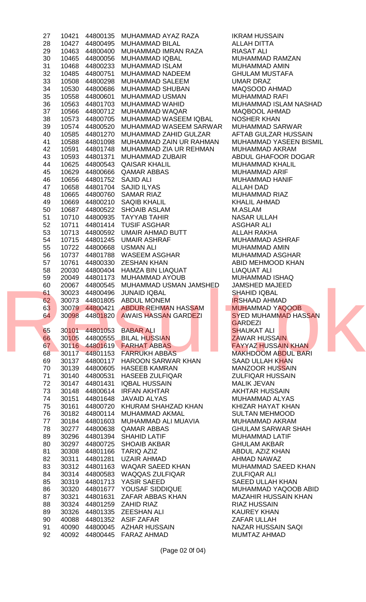| 27 |                          | 10421 44800135 MUHAMMAD AYAZ RAZA     | <b>IKRAM HUSSAIN</b>        |
|----|--------------------------|---------------------------------------|-----------------------------|
| 28 |                          |                                       | <b>ALLAH DITTA</b>          |
| 29 | 10463 44800400           | MUHAMMAD IMRAN RAZA                   | <b>RIASAT ALI</b>           |
| 30 |                          | 10465 44800056 MUHAMMAD IQBAL         | MUHAMMAD RAMZAN             |
| 31 |                          | 10468  44800233  MUHAMMAD ISLAM       | <b>MUHAMMAD AMIN</b>        |
| 32 | 10485 44800751           | MUHAMMAD NADEEM                       | <b>GHULAM MUSTAFA</b>       |
| 33 |                          | 10508  44800298  MUHAMMAD SALEEM      | UMAR DRAZ                   |
| 34 |                          | 10530  44800686  MUHAMMAD SHUBAN      | MAQSOOD AHMAD               |
| 35 |                          | 10558  44800601  MUHAMMAD USMAN       | <b>MUHAMMAD RAFI</b>        |
| 36 |                          | 10563 44801703 MUHAMMAD WAHID         | MUHAMMAD ISLAM NASHAD       |
| 37 |                          | 10566 44800712 MUHAMMAD WAQAR         | <b>MAQBOOL AHMAD</b>        |
| 38 |                          | 10573 44800705 MUHAMMAD WASEEM IQBAL  | <b>NOSHER KHAN</b>          |
| 39 |                          | 10574 44800520 MUHAMMAD WASEEM SARWAR | MUHAMMAD SARWAR             |
| 40 | 10585 44801270           | MUHAMMAD ZAHID GULZAR                 | AFTAB GULZAR HUSSAIN        |
| 41 | 10588 44801098           | MUHAMMAD ZAIN UR RAHMAN               | MUHAMMAD YASEEN BISMIL      |
| 42 |                          | 10591 44801748 MUHAMMAD ZIA UR REHMAN | <b>MUHAMMAD AKRAM</b>       |
| 43 |                          | 10593 44801371 MUHAMMAD ZUBAIR        | ABDUL GHAFOOR DOGAR         |
| 44 |                          | 10625 44800543 QAISAR KHALIL          | <b>MUHAMMAD KHALIL</b>      |
| 45 |                          | 10629 44800666 QAMAR ABBAS            | <b>MUHAMMAD ARIF</b>        |
| 46 | 10656 44801752 SAJID ALI |                                       | <b>MUHAMMAD HANIF</b>       |
| 47 |                          | 10658 44801704 SAJID ILYAS            | <b>ALLAH DAD</b>            |
| 48 |                          | 10665 44800760 SAMAR RIAZ             | <b>MUHAMMAD RIAZ</b>        |
| 49 |                          | 10669  44800210  SAQIB KHALIL         | <b>KHALIL AHMAD</b>         |
| 50 |                          | 10687 44800522 SHOAIB ASLAM           | M.ASLAM                     |
| 51 |                          | 10710  44800935  TAYYAB TAHIR         | NASAR ULLAH                 |
| 52 |                          | 10711 44801414 TUSIF ASGHAR           | <b>ASGHAR ALI</b>           |
| 53 |                          | 10713 44800592 UMAIR AHMAD BUTT       | ALLAH RAKHA                 |
| 54 |                          | 10715  44801245  UMAIR ASHRAF         | <b>MUHAMMAD ASHRAF</b>      |
| 55 |                          | 10722 44800668 USMAN ALI              | <b>MUHAMMAD AMIN</b>        |
| 56 |                          | 10737 44801788 WASEEM ASGHAR          | MUHAMMAD ASGHAR             |
| 57 |                          | 10761 44800330 ZESHAN KHAN            | ABID MEHMOOD KHAN           |
| 58 |                          | 20030 44800404 HAMZA BIN LIAQUAT      | LIAQUAT ALI                 |
| 59 |                          | 20049 44801173 MUHAMMAD AYOUB         | MUHAMMAD ISHAQ              |
| 60 |                          | 20067 44800545 MUHAMMAD USMAN JAMSHED | <b>JAMSHED MAJEED</b>       |
| 61 |                          | 30023 44800496 JUNAID IQBAL           | <b>SHAHID IQBAL</b>         |
| 62 |                          | 30073 44801805 ABDUL MONEM            | <b>IRSHAAD AHMAD</b>        |
| 63 |                          | 30079 44800421 ABDUR REHMAN HASSAM    | <b>MUHAMMAD YAQOOB</b>      |
| 64 |                          | 30098 44801820 AWAIS HASSAN GARDEZI   | <b>SYED MUHAMMAD HASSAN</b> |
|    |                          |                                       | <b>GARDEZI</b>              |
| 65 |                          | 30101 44801053 BABAR ALI              | <b>SHAUKAT ALI</b>          |
| 66 |                          | 30105 44800555 BILAL HUSSIAN          | <b>ZAWAR HUSSAIN</b>        |
| 67 |                          | 30116 44801619 FARHAT ABBAS           | <b>FAYYAZ HUSSAIN KHAN</b>  |
| 68 |                          | 30117 44801153 FARRUKH ABBAS          | <b>MAKHDOOM ABDUL BARI</b>  |
| 69 |                          | 30137 44800117 HAROON SARWAR KHAN     | <b>SAAD ULLAH KHAN</b>      |
| 70 |                          | 30139 44800605 HASEEB KAMRAN          | <b>MANZOOR HUSSAIN</b>      |
| 71 |                          | 30140 44800531 HASEEB ZULFIQAR        | <b>ZULFIQAR HUSSAIN</b>     |
| 72 |                          | 30147 44801431 IQBAL HUSSAIN          | <b>MALIK JEVAN</b>          |
| 73 |                          | 30148 44800614 IRFAN AKHTAR           | <b>AKHTAR HUSSAIN</b>       |
| 74 |                          | 30151 44801648 JAVAID ALYAS           | <b>MUHAMMAD ALYAS</b>       |
| 75 | 30161 44800720           | KHURAM SHAHZAD KHAN                   | KHIZAR HAYAT KHAN           |
| 76 |                          | 30182 44800114 MUHAMMAD AKMAL         | <b>SULTAN MEHMOOD</b>       |
| 77 |                          | 30184 44801603 MUHAMMAD ALI MUAVIA    | MUHAMMAD AKRAM              |
| 78 |                          | 30277 44800638 QAMAR ABBAS            | <b>GHULAM SARWAR SHAH</b>   |
| 89 |                          | 30296 44801394 SHAHID LATIF           | <b>MUHAMMAD LATIF</b>       |
| 80 |                          | 30297 44800725 SHOAIB AKBAR           | <b>GHULAM AKBAR</b>         |
| 81 |                          | 30308 44801166 TARIQ AZIZ             | ABDUL AZIZ KHAN             |
| 82 |                          | 30311 44801281 UZAIR AHMAD            | AHMAD NAWAZ                 |
| 83 |                          | 30312 44801163 WAQAR SAEED KHAN       | MUHAMMAD SAEED KHAN         |
| 84 |                          | 30314 44800583 WAQQAS ZULFIQAR        | <b>ZULFIQAR ALI</b>         |
| 85 |                          | 30319 44801713 YASIR SAEED            | <b>SAEED ULLAH KHAN</b>     |
| 86 |                          | 30320 44801677 YOUSAF SIDDIQUE        | MUHAMMAD YAQOOB ABID        |
| 87 |                          | 30321 44801631 ZAFAR ABBAS KHAN       | <b>MAZAHIR HUSSAIN KHAN</b> |
|    |                          | 30324 44801259 ZAHID RIAZ             | <b>RIAZ HUSSAIN</b>         |
| 88 |                          |                                       |                             |
| 89 |                          | 30326 44801335 ZEESHAN ALI            | <b>KAUREY KHAN</b>          |
| 90 |                          | 40088 44801352 ASIF ZAFAR             | ZAFAR ULLAH                 |
| 91 |                          | 40090 44800045 AZHAR HUSSAIN          | <b>NAZAR HUSSAIN SAQI</b>   |
| 92 |                          | 40092 44800445 FARAZ AHMAD            | MUMTAZ AHMAD                |

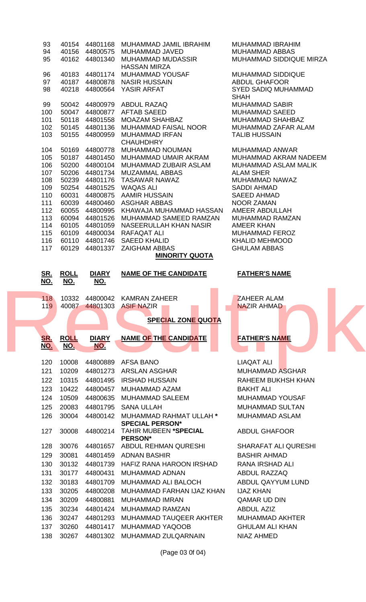| 93         |                |                | 40154 44801168 MUHAMMAD JAMIL IBRAHIM                                 | MUHAMMAD IBRAHIM                                 |  |
|------------|----------------|----------------|-----------------------------------------------------------------------|--------------------------------------------------|--|
| 94         |                |                | 40156 44800575 MUHAMMAD JAVED                                         | MUHAMMAD ABBAS                                   |  |
| 95         |                | 40162 44801340 | MUHAMMAD MUDASSIR                                                     | MUHAMMAD SIDDIQUE MIRZA                          |  |
|            |                |                | <b>HASSAN MIRZA</b>                                                   |                                                  |  |
| 96<br>97   |                | 40183 44801174 | MUHAMMAD YOUSAF<br><b>NASIR HUSSAIN</b>                               | <b>MUHAMMAD SIDDIQUE</b><br><b>ABDUL GHAFOOR</b> |  |
| 98         |                | 40187 44800878 | 40218 44800564 YASIR ARFAT                                            | <b>SYED SADIQ MUHAMMAD</b>                       |  |
|            |                |                |                                                                       | <b>SHAH</b>                                      |  |
| 99         |                |                | 50042 44800979 ABDUL RAZAQ                                            | <b>MUHAMMAD SABIR</b>                            |  |
| 100        |                |                | 50047 44800877 AFTAB SAEED                                            | <b>MUHAMMAD SAEED</b>                            |  |
| 101        |                |                | 50118  44801558  MOAZAM SHAHBAZ                                       | <b>MUHAMMAD SHAHBAZ</b>                          |  |
| 102        |                |                | 50145 44801136 MUHAMMAD FAISAL NOOR                                   | MUHAMMAD ZAFAR ALAM                              |  |
| 103        |                | 50155 44800959 | <b>MUHAMMAD IRFAN</b>                                                 | <b>TALIB HUSSAIN</b>                             |  |
| 104        |                | 50169 44800778 | <b>CHAUHDHRY</b><br>MUHAMMAD NOUMAN                                   | <b>MUHAMMAD ANWAR</b>                            |  |
| 105        |                | 50187 44801450 | MUHAMMAD UMAIR AKRAM                                                  | MUHAMMAD AKRAM NADEEM                            |  |
| 106        |                | 50200 44800104 | MUHAMMAD ZUBAIR ASLAM                                                 | MUHAMMAD ASLAM MALIK                             |  |
| 107        |                |                | 50206 44801734 MUZAMMAL ABBAS                                         | <b>ALAM SHER</b>                                 |  |
| 108        |                |                | 50239 44801176 TASAWAR NAWAZ                                          | MUHAMMAD NAWAZ                                   |  |
| 109        |                |                | 50254 44801525 WAQAS ALI                                              | <b>SADDI AHMAD</b>                               |  |
| 110        |                |                | 60031 44800875 AAMIR HUSSAIN                                          | <b>SAEED AHMAD</b>                               |  |
| 111<br>112 |                |                | 60039 44800460 ASGHAR ABBAS<br>60055 44800995 KHAWAJA MUHAMMAD HASSAN | NOOR ZAMAN<br>AMEER ABDULLAH                     |  |
| 113        |                | 60094 44801526 | MUHAMMAD SAMEED RAMZAN                                                | MUHAMMAD RAMZAN                                  |  |
| 114        |                | 60105 44801059 | NASEERULLAH KHAN NASIR                                                | AMEER KHAN                                       |  |
| 115        |                | 60109 44800034 | RAFAQAT ALI                                                           | <b>MUHAMMAD FEROZ</b>                            |  |
| 116        |                | 60110 44801746 | SAEED KHALID                                                          | <b>KHALID MEHMOOD</b>                            |  |
| 117        |                |                | 60129 44801337 ZAIGHAM ABBAS                                          | <b>GHULAM ABBAS</b>                              |  |
|            |                |                | <b>MINORITY QUOTA</b>                                                 |                                                  |  |
|            |                |                |                                                                       |                                                  |  |
|            |                |                |                                                                       |                                                  |  |
| <u>SR.</u> | <b>ROLL</b>    | <b>DIARY</b>   | <b>NAME OF THE CANDIDATE</b>                                          | <b>FATHER'S NAME</b>                             |  |
| <u>NO.</u> | <u>NO.</u>     | <u>NO.</u>     |                                                                       |                                                  |  |
|            |                |                |                                                                       |                                                  |  |
| 118        |                |                | 10332 44800042 KAMRAN ZAHEER                                          | ZAHEER ALAM                                      |  |
|            |                |                | 119 40087 44801303 ASIF NAZIR                                         | NAZIR AHMAD                                      |  |
|            |                |                | <b>SPECIAL ZONE QUOTA</b>                                             |                                                  |  |
|            |                |                |                                                                       |                                                  |  |
| <u>SR.</u> | <b>ROLL</b>    | <b>DIARY</b>   | <b>NAME OF THE CANDIDATE</b>                                          | <b>FATHER'S NAME</b>                             |  |
| <u>NO.</u> | <u>NO.</u>     | NO.            |                                                                       |                                                  |  |
|            |                |                |                                                                       |                                                  |  |
| 120        | 10008          |                | 44800889 AFSA BANO                                                    | <b>LIAQAT ALI</b>                                |  |
| 121        | 10209          |                | 44801273 ARSLAN ASGHAR                                                | <b>MUHAMMAD ASGHAR</b>                           |  |
| 122        | 10315          | 44801495       | <b>IRSHAD HUSSAIN</b>                                                 | RAHEEM BUKHSH KHAN                               |  |
| 123        | 10422          |                | 44800457 MUHAMMAD AZAM                                                | <b>BAKHT ALI</b>                                 |  |
| 124        | 10509          | 44800635       | MUHAMMAD SALEEM                                                       | <b>MUHAMMAD YOUSAF</b>                           |  |
| 125        | 20083          | 44801795       | <b>SANA ULLAH</b>                                                     | <b>MUHAMMAD SULTAN</b>                           |  |
| 126        | 30004          | 44800142       | MUHAMMAD RAHMAT ULLAH *                                               | <b>MUHAMMAD ASLAM</b>                            |  |
|            |                |                | <b>SPECIAL PERSON*</b>                                                |                                                  |  |
| 127        | 30008          | 44800214       | <b>TAHIR MUBEEN *SPECIAL</b><br><b>PERSON*</b>                        | <b>ABDUL GHAFOOR</b>                             |  |
| 128        | 30076          |                | 44801657 ABDUL REHMAN QURESHI                                         | <b>SHARAFAT ALI QURESHI</b>                      |  |
| 129        | 30081          | 44801459       | <b>ADNAN BASHIR</b>                                                   | <b>BASHIR AHMAD</b>                              |  |
| 130        | 30132          |                | 44801739 HAFIZ RANA HAROON IRSHAD                                     | <b>RANA IRSHAD ALI</b>                           |  |
| 131        | 30177          | 44800431       | MUHAMMAD ADNAN                                                        | <b>ABDUL RAZZAQ</b>                              |  |
| 132        | 30183          | 44801709       | MUHAMMAD ALI BALOCH                                                   | ABDUL QAYYUM LUND                                |  |
| 133        | 30205          | 44800208       | MUHAMMAD FARHAN IJAZ KHAN                                             | <b>IJAZ KHAN</b>                                 |  |
| 134        |                |                | <b>MUHAMMAD IMRAN</b>                                                 | <b>QAMAR UD DIN</b>                              |  |
|            | 30209          | 44800881       |                                                                       |                                                  |  |
| 135        | 30234          | 44801424       | <b>MUHAMMAD RAMZAN</b>                                                | <b>ABDUL AZIZ</b>                                |  |
| 136        | 30247          | 44801293       | MUHAMMAD TAUQEER AKHTER                                               | <b>MUHAMMAD AKHTER</b>                           |  |
| 137<br>138 | 30260<br>30267 | 44801417       | <b>MUHAMMAD YAQOOB</b><br>44801302 MUHAMMAD ZULQARNAIN                | <b>GHULAM ALI KHAN</b><br><b>NIAZ AHMED</b>      |  |

(Page 03 0f 04)